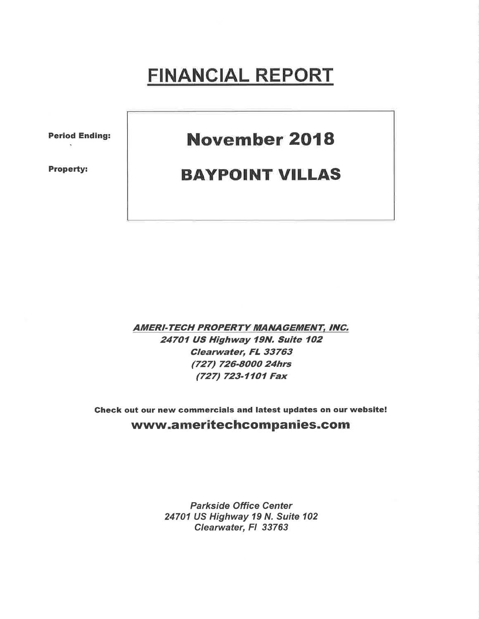# FINANCIAL REPORT

Period Ending:

Property:

## November 2018

#### BAYPOINT VILLAS

**AMERI-TECH PROPERTY MANAGEMENT, INC.** 24707 US Highway 79N, Suite 7O2 Clearwater, FL 33763 (727) 726-8000 24hrs (727) 723-1101 Fax

Gheck out our new commercials and latest updates on our website! www.ameritechcompanies.com

> Parkside Office Center 24701 US Highway 19 N. Suite 102 Clearwater, FI 33763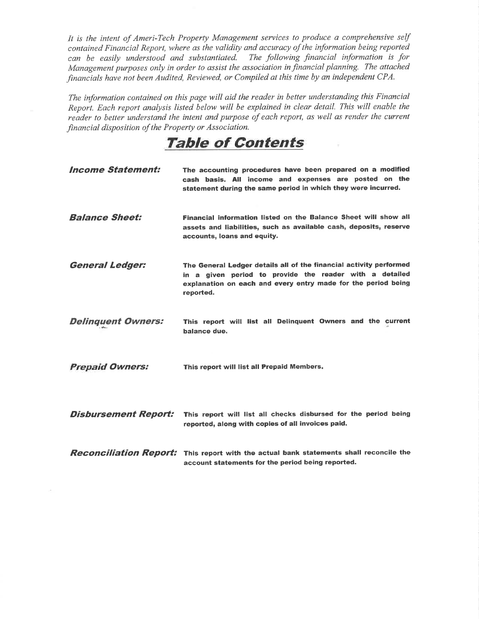It is the intent of Ameri-Tech Property Management services to produce a comprehensive self contained Financial Report, where as the validity and accuracy of the information being reported can be easily understood and substantiated. The following financial information is for Management purposes only in order to assist the association in financial planning. The attached financials have not been Audited, Reviewed, or Compiled at this time by an independent CPA.

The information contained on this page will aid the reader in better understanding this Financial Report. Each report analysis listed below will be explained in clear detail. This will enable the reader to better understand the intent and purpose of each report, as well as render the current financial disposition of the Property or Association.

### TaþIe of Contents

| <b>Income Statement:</b>    | The accounting procedures have been prepared on a modified<br>cash basis. All income and expenses are posted on the<br>statement during the same period in which they were incurred.                        |
|-----------------------------|-------------------------------------------------------------------------------------------------------------------------------------------------------------------------------------------------------------|
| <b>Balance Sheet:</b>       | Financial information listed on the Balance Sheet will show all<br>assets and liabilities, such as available cash, deposits, reserve<br>accounts, loans and equity.                                         |
| <b>General Ledger:</b>      | The General Ledger details all of the financial activity performed<br>in a given period to provide the reader with a detailed<br>explanation on each and every entry made for the period being<br>reported. |
| <b>Delinquent Owners:</b>   | This report will list all Delinquent Owners and the current<br>balance due.                                                                                                                                 |
| <b>Prepaid Owners:</b>      | This report will list all Prepaid Members.                                                                                                                                                                  |
| <b>Disbursement Report:</b> | This report will list all checks disbursed for the period being<br>reported, along with copies of all invoices paid.                                                                                        |
|                             | <b>Reconciliation Report:</b> This report with the actual bank statements shall reconcile the<br>account statements for the period being reported.                                                          |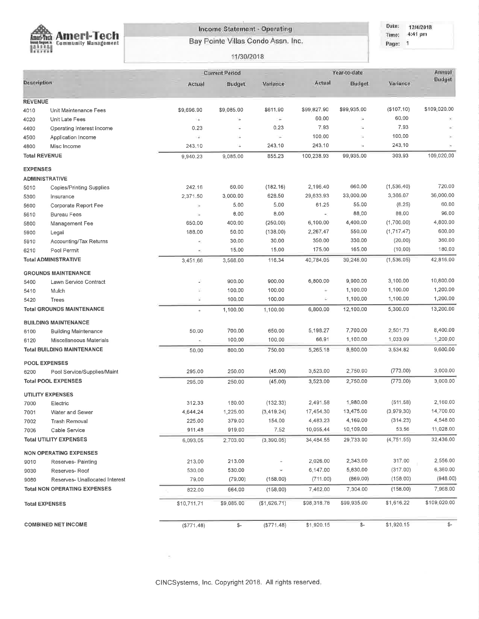

**Income Statement - Operating** Bay Pointe Villas Condo Assn. Inc.

Dato: 12/4/2018 Time; 4:41 pm Page: 1

#### 11/30/2018

|                      |                                     |                | <b>Current Period</b> |              |               | Year-to-date             |             | Annual        |
|----------------------|-------------------------------------|----------------|-----------------------|--------------|---------------|--------------------------|-------------|---------------|
| Description          |                                     | Actual         | Budget                | Variance     | Actual        | Budget                   | Variance    | <b>Budget</b> |
| <b>REVENUE</b>       |                                     |                |                       |              |               |                          |             |               |
| 4010                 | Unit Maintenance Fees               | \$9,696.90     | \$9,085.00            | \$611.90     | \$99,827.90   | \$99,935.00              | (\$107.10)  | \$109,020.00  |
| 4020                 | Unit Late Fees                      | 1.46           | ų,                    | $\sim$       | 60.00         | ÷                        | 60.00       |               |
| 4400                 | Operating Interest Income           | 0.23           |                       | 0.23         | 7.93          | ÷                        | 7.93        |               |
| 4500                 | Application Income                  | ΥË.            | ä                     | ×            | 100.00        | ÷.                       | 100.00      |               |
| 4800                 | Misc Income                         | 243.10         | ÷                     | 243.10       | 243.10        | $\overline{\phantom{a}}$ | 243.10      |               |
| <b>Total REVENUE</b> |                                     | 9,940.23       | 9,085.00              | 855.23       | 100,238.93    | 99,935.00                | 303.93      | 109,020,00    |
| <b>EXPENSES</b>      |                                     |                |                       |              |               |                          |             |               |
|                      | <b>ADMINISTRATIVE</b>               |                |                       |              |               |                          |             |               |
| 5010                 | Copies/Printing Supplies            | 242.16         | 60.00                 | (182.16)     | 2,196.40      | 660.00                   | (1, 536.40) | 720.00        |
| 5300                 | Insurance                           | 2,371.50       | 3,000.00              | 628.50       | 29,633.93     | 33,000.00                | 3,366.07    | 36,000.00     |
| 5600                 | Corporate Report Fee                | ×              | 5.00                  | 5.00         | 61.25         | 55.00                    | (6.25)      | 60.00         |
| 5610                 | <b>Bureau Fees</b>                  | $\blacksquare$ | 8.00                  | 8,00         | $\mathcal{C}$ | 88.00                    | 88,00       | 96.00         |
| 5800                 | Management Fee                      | 650.00         | 400.00                | (250.00)     | 6,100.00      | 4,400.00                 | (1,700.00)  | 4,800.00      |
| 5900                 | Legal                               | 188.00         | 50.00                 | (138.00)     | 2,267.47      | 550.00                   | (1,717.47)  | 600.00        |
| 5910                 | Accounting/Tax Returns              | ×.             | 30.00                 | 30.00        | 350.00        | 330.00                   | (20.00)     | 360,00        |
| 6210                 | Pool Permit                         | ÷.             | 15.00                 | 15.00        | 175,00        | 165.00                   | (10.00)     | 180,00        |
|                      | <b>Total ADMINISTRATIVE</b>         | 3,451.66       | 3,568.00              | 116.34       | 40,784.05     | 39,248,00                | (1,536.05)  | 42,816.00     |
|                      | <b>GROUNDS MAINTENANCE</b>          |                |                       |              |               |                          |             |               |
| 5400                 | Lawn Service Contract               | ÷              | 900.00                | 900.00       | 6,800.00      | 9,900.00                 | 3,100.00    | 10,800.00     |
| 5410                 | Mulch                               | ¥,             | 100.00                | 100.00       | $\bar{a}$     | 1,100.00                 | 1,100.00    | 1,200.00      |
| 5420                 | Trees                               | ¥              | 100.00                | 100.00       | $\leq$        | 1,100.00                 | 1,100.00    | 1,200.00      |
|                      | <b>Total GROUNDS MAINTENANCE</b>    | $\alpha$       | 1,100.00              | 1,100,00     | 6,800.00      | 12,100.00                | 5,300.00    | 13,200.00     |
|                      | <b>BUILDING MAINTENANCE</b>         |                |                       |              |               |                          |             |               |
| 6100                 | <b>Building Maintenance</b>         | 50,00          | 700.00                | 650.00       | 5,198.27      | 7,700.00                 | 2,501.73    | 8,400.00      |
| 6120                 | Miscellaneous Materials             |                | 100,00                | 100.00       | 66.91         | 1,100.00                 | 1,033.09    | 1,200,00      |
|                      | <b>Total BUILDING MAINTENANCE</b>   | 50.00          | 800.00                | 750.00       | 5,265.18      | 8,800.00                 | 3,534.82    | 9,600.00      |
|                      | <b>POOL EXPENSES</b>                |                |                       |              |               |                          |             |               |
| 6200                 | Pool Service/Supplies/Maint         | 295.00         | 250.00                | (45.00)      | 3,523.00      | 2,750.00                 | (773.00)    | 3,000.00      |
|                      | <b>Total POOL EXPENSES</b>          | 295.00         | 250.00                | (45.00)      | 3,523.00      | 2,750.00                 | (773.00)    | 3,000.00      |
|                      | <b>UTILITY EXPENSES</b>             |                |                       |              |               |                          |             |               |
| 7000                 | Electric                            | 312.33         | 180.00                | (132.33)     | 2,491.58      | 1,980.00                 | (511.58)    | 2,160.00      |
| 7001                 | Water and Sewer                     | 4,644.24       | 1,225.00              | (3, 419.24)  | 17,454.30     | 13,475.00                | (3,979,30)  | 14,700.00     |
| 7002                 | Trash Removal                       | 225.00         | 379.00                | 154.00       | 4,483.23      | 4,169.00                 | (314.23)    | 4,548.00      |
| 7006                 | Cable Service                       | 911.48         | 919.00                | 7.52         | 10,055.44     | 10,109.00                | 53.56       | 11,028.00     |
|                      | <b>Total UTILITY EXPENSES</b>       | 6,093.05       | 2,703.00              | (3,390.05)   | 34,484.55     | 29,733.00                | (4,751.55)  | 32,436.00     |
|                      | <b>NON OPERATING EXPENSES</b>       |                |                       |              |               |                          |             |               |
| 9010                 | Reserves- Painting                  | 213.00         | 213.00                |              | 2,026.00      | 2,343.00                 | 317.00      | 2,556.00      |
| 9030                 | Reserves-Roof                       | 530.00         | 530.00                | ÷            | 6,147.00      | 5,830.00                 | (317.00)    | 6,360.00      |
| 9080                 | Reserves- Unallocated Interest      | 79.00          | (79.00)               | (158.00)     | (711.00)      | (869.00)                 | (158.00)    | (948.00)      |
|                      | <b>Total NON OPERATING EXPENSES</b> | 822.00         | 664.00                | (158.00)     | 7,462.00      | 7,304.00                 | (158.00)    | 7,968.00      |
|                      | <b>Total EXPENSES</b>               | \$10,711.71    | \$9,085.00            | (\$1,626.71) | \$98,318.78   | \$99,935.00              | \$1,616.22  | \$109,020.00  |
|                      |                                     |                |                       |              |               |                          |             |               |
|                      | <b>COMBINED NET INCOME</b>          | (\$771.48)     | $\mathbb{S}^-$        | (\$771.48)   | \$1,920.15    | \$-                      | \$1,920.15  | \$-           |

CINCSystems, Inc. Copyright 2018. All rights reserved,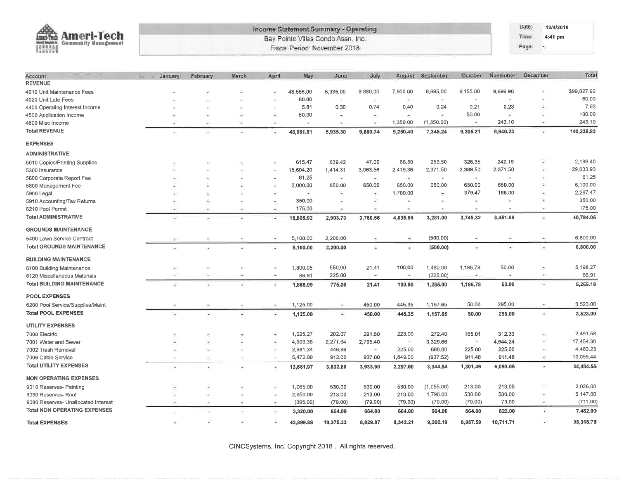| Ameri-Tech<br>Louvri-Tuch<br><b>Community Management</b><br>ninte Engine. Ic.<br>開開 |                          |          |                          |                          | Income Statement Summary - Operating<br>Bay Pointe Villas Condo Assn, Inc.<br>Fiscal Period: November 2018 |           |             |                          |                    |                    |                | Date:<br>Time:<br>Page:<br>$\mathcal{A}$ | 12/4/2018<br>4:41 pm     |             |
|-------------------------------------------------------------------------------------|--------------------------|----------|--------------------------|--------------------------|------------------------------------------------------------------------------------------------------------|-----------|-------------|--------------------------|--------------------|--------------------|----------------|------------------------------------------|--------------------------|-------------|
| Account                                                                             | January                  | February | March                    | April                    | May                                                                                                        | June      | <b>July</b> | August                   | September          | October            | November       | December                                 |                          | Total       |
| <b>REVENUE</b><br>4010 Unit Maintenance Fees                                        |                          |          |                          |                          | 48,566.00                                                                                                  | 5,935.00  | 9,880.00    | 7,900.00                 | 8,695.00           | 9,155.00           | 9,696.90       |                                          | ÷.                       | \$99,827.90 |
| 4020 Unit Late Fees                                                                 |                          |          |                          |                          | 60.00                                                                                                      | $\sim$    | ×           | õ.                       | $\mathcal{D}_i$    | $\bar{a}$          | $\overline{a}$ |                                          | $\overline{\phantom{a}}$ | 60.00       |
| 4400 Operating Interest Income                                                      |                          |          |                          | υ                        | 5,81                                                                                                       | 0.30      | 0.74        | 0,40                     | 0.24               | 0.21               | 0.23           |                                          | u,                       | 7,93        |
| 4500 Application Income                                                             | ۰                        |          | $\sim$                   | ٠                        | 50.00                                                                                                      | ×,        |             | $\overline{\phantom{a}}$ | $\sim$             | 50,00              | $\rightarrow$  |                                          | э                        | 100.00      |
| 4800 Misc Income                                                                    |                          | s        | ×                        | ×                        | ۰                                                                                                          | ٠e        | $\sim$      | 1,350.00                 | (1,350.00)         | 変                  | 243.10         |                                          | $\frac{1}{2}$            | 243.10      |
| <b>Total REVENUE</b>                                                                |                          |          | ×,                       | ٠                        | 48,681.81                                                                                                  | 5,935.30  | 9,880.74    | 9,250.40                 | 7,345.24           | 9,205.21           | 9,940.23       |                                          | a.                       | 100,238.93  |
| <b>EXPENSES</b>                                                                     |                          |          |                          |                          |                                                                                                            |           |             |                          |                    |                    |                |                                          |                          |             |
| <b>ADMINISTRATIVE</b>                                                               |                          |          |                          |                          |                                                                                                            |           |             |                          |                    |                    |                |                                          |                          |             |
| 5010 Copies/Printing Supplies                                                       |                          |          |                          |                          | 615.47                                                                                                     | 639.42    | 47.00       | 66.50                    | 259.50             | 326.35             | 242.16         |                                          |                          | 2,196.40    |
| 5300 Insurance                                                                      |                          |          |                          | ¥                        | 15,604.20                                                                                                  | 1,414.31  | 3,063.56    | 2,419.36                 | 2,371.50           | 2,389.50           | 2,371.50       |                                          | $\rightarrow$            | 29,633.93   |
| 5600 Corporate Report Fee                                                           |                          |          |                          |                          | 61.25                                                                                                      | $\sim$    | $\bullet$   | $\mathbb{R}$ :           | $\hat{\mathbf{r}}$ | ÷                  | i.             |                                          |                          | 61.25       |
| 5800 Management Fee                                                                 |                          |          |                          | Ξ                        | 2,000.00                                                                                                   | 850.00    | 650.00      | 650.00                   | 650.00             | 650.00             | 650.00         |                                          | œ.                       | 6,100.00    |
| 5900 Legal                                                                          |                          |          |                          |                          |                                                                                                            |           |             | 1,700.00                 | $\pm$              | 379,47             | 188.00         |                                          |                          | 2,267.47    |
| 5910 Accounting/Tax Returns                                                         |                          | ٠        |                          | Θ                        | 350.00                                                                                                     | z         | ÷           | ÷                        | ×                  | ٠                  | a,             |                                          | ÷                        | 350.00      |
| 6210 Pool Permit                                                                    |                          | ٠        | ÷                        | ¥                        | 175.00                                                                                                     | ä,        |             | $\sim$                   |                    | $\hat{\mathbf{w}}$ | ¥              |                                          |                          | 175.00      |
| <b>Total ADMINISTRATIVE</b>                                                         |                          |          |                          | ÷,                       | 18,805.92                                                                                                  | 2,903.73  | 3,760.56    | 4,835.86                 | 3,281.00           | 3,745.32           | 3,451.66       |                                          | у.                       | 40,784.05   |
| <b>GROUNDS MAINTENANCE</b>                                                          |                          |          |                          |                          |                                                                                                            |           |             |                          |                    |                    |                |                                          |                          |             |
| 5400 Lawn Service Contract                                                          |                          |          |                          |                          | 5,100.00                                                                                                   | 2.200.00  |             | ×                        | (500.00)           |                    |                |                                          |                          | 6,800.00    |
| <b>Total GROUNDS MAINTENANCE</b>                                                    |                          |          |                          |                          | 5,100.00                                                                                                   | 2,200.00  | з,          |                          | (500.00)           |                    | ۰              |                                          | i.                       | 6,800.00    |
| <b>BUILDING MAINTENANCE</b>                                                         |                          |          |                          |                          |                                                                                                            |           |             |                          |                    |                    |                |                                          |                          |             |
| 6100 Building Maintenance                                                           |                          |          |                          |                          | 1,800.08                                                                                                   | 550,00    | 21.41       | 100,00                   | 1,480.00           | 1,196.78           | 50,00          |                                          |                          | 5,198.27    |
| 6120 Miscellaneous Materials                                                        |                          | ¥        | Ξ                        | ÷                        | 66.91                                                                                                      | 225.00    | $\equiv$    | i.                       | (225.00)           | 滊                  | ä.             |                                          | ×                        | 66.91       |
| <b>Total BUILDING MAINTENANCE</b>                                                   | ÷                        |          | ç,                       | ×                        | 1,866.99                                                                                                   | 775.00    | 21.41       | 100.00                   | 1,255.00           | 1,196.78           | 50.00          |                                          | $\overline{a}$           | 5,265.18    |
| <b>POOL EXPENSES</b>                                                                |                          |          |                          |                          |                                                                                                            |           |             |                          |                    |                    |                |                                          |                          |             |
| 6200 Pool Service/Supplies/Maint                                                    |                          |          | ÷                        | $\overline{\phantom{a}}$ | 1,125.00                                                                                                   | $\sim$    | 450.00      | 445.35                   | 1.157.65           | 50.00              | 295.00         |                                          | ٠                        | 3,523.00    |
| <b>Total POOL EXPENSES</b>                                                          | ÿ.                       |          | Ξ                        | S.                       | 1,125.00                                                                                                   | ÷.        | 450,00      | 445.35                   | 1,157.65           | 50.00              | 295.00         |                                          | $\bullet$                | 3,523.00    |
| <b>UTILITY EXPENSES</b>                                                             |                          |          |                          |                          |                                                                                                            |           |             |                          |                    |                    |                |                                          |                          |             |
| 7000 Electric                                                                       |                          |          |                          |                          | 1,025.27                                                                                                   | 202.07    | 291.50      | 223.00                   | 272.40             | 165.01             | 312.33         |                                          |                          | 2,491.58    |
| 7001 Water and Sewer                                                                | $\equiv$                 |          |                          | ۷                        | 4,503.36                                                                                                   | 2,271.64  | 2,705.40    | $\overline{\mathcal{L}}$ | 3,329.66           | ¥.                 | 4,644.24       |                                          | ο                        | 17,454.30   |
| 7002 Trash Removal                                                                  |                          |          |                          | $\bar{\omega}$           | 2,681.34                                                                                                   | 446,89    | $\bullet$   | 225.00                   | 680,00             | 225.00             | 225.00         |                                          | w                        | 4,483.23    |
| 7006 Cable Service                                                                  |                          | ×,       | $\overline{\phantom{a}}$ | $\overline{a}$           | 5,472.00                                                                                                   | 912.00    | 937.00      | 1,849.00                 | (937.52)           | 911.48             | 911.48         |                                          | ¥.                       | 10,055.44   |
| <b>Total UTILITY EXPENSES</b>                                                       | ×                        |          | ×                        | ×                        | 13,681.97                                                                                                  | 3,832.60  | 3,933.90    | 2,297.00                 | 3,344.54           | 1,301.49           | 6,093.05       |                                          | ٠                        | 34,484.55   |
| <b>NON OPERATING EXPENSES</b>                                                       |                          |          |                          |                          |                                                                                                            |           |             |                          |                    |                    |                |                                          |                          |             |
| 9010 Reserves- Painting                                                             |                          |          |                          |                          | 1,065.00                                                                                                   | 530,00    | 530.00      | 530.00                   | (1,055,00)         | 213,00             | 213.00         |                                          |                          | 2,026.00    |
| 9030 Reserves- Roof                                                                 | ÷                        | кé.      | ¥.                       | Ň,                       | 2,650.00                                                                                                   | 213.00    | 213.00      | 213.00                   | 1,798.00           | 530.00             | 530.00         |                                          |                          | 6,147.00    |
| 9080 Reserves- Unallocated Interest                                                 | $\overline{\phantom{a}}$ | ×,       | c                        | ۷                        | (395.00)                                                                                                   | (79.00)   | (79.00)     | (79.00)                  | (79.00)            | (79.00)            | 79.00          |                                          | w.                       | (711.00)    |
| <b>Total NON OPERATING EXPENSES</b>                                                 | $\overline{\phantom{a}}$ |          | $\bar{\phantom{a}}$      | $\overline{\phantom{a}}$ | 3,320.00                                                                                                   | 664.00    | 664.00      | 664.00                   | 664.00             | 664.00             | 822.00         |                                          | ä,                       | 7,462.00    |
| <b>Total EXPENSES</b>                                                               |                          |          |                          |                          | 43,899.88                                                                                                  | 10.375.33 | 8,829.87    | 8,342.21                 | 9.202.19           | 6,957.59           | 10.711.71      |                                          | $\mathbb{R}^3$           | 98,318.78   |

CINCSystems, Inc. Copyright 2018. All rights reserved.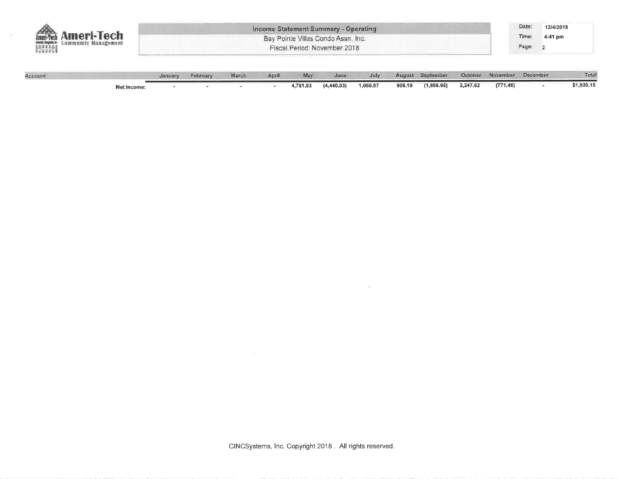| <b>\meri-Tech</b><br>Community Management<br>RINA | Income Statement Summary - Operating<br>Bay Pointe Villas Condo Assn. Inc.<br>Fiscal Period: November 2018 |          |       |       |     |      |      |        |           |         | Date:<br>$4:41$ pm<br>(ime:<br>Page: | 12/4/2018 |        |
|---------------------------------------------------|------------------------------------------------------------------------------------------------------------|----------|-------|-------|-----|------|------|--------|-----------|---------|--------------------------------------|-----------|--------|
| Account                                           |                                                                                                            | February | March | April | May | June | July | August | September | October | November                             | December  | Total. |

|                    | uanuary | reprusty | <b>INGEFORM</b> | мргш | <b>MTDA</b> | noun         | <b>JUIV</b> | <b>MUGUOL</b> | <b>SENGINAL</b> | Centrates | <b>INDIANALISM</b> | <b>DATESHIRE</b> | <b>SPACES</b> |
|--------------------|---------|----------|-----------------|------|-------------|--------------|-------------|---------------|-----------------|-----------|--------------------|------------------|---------------|
| <b>Net Income:</b> |         |          |                 |      | 4,781.93    | (4, 440, 03) | 1,050.87    | 908.19        | (1,856.95)      | 2,247.62  | (771.48)           |                  | \$1,920.15    |

**COL**